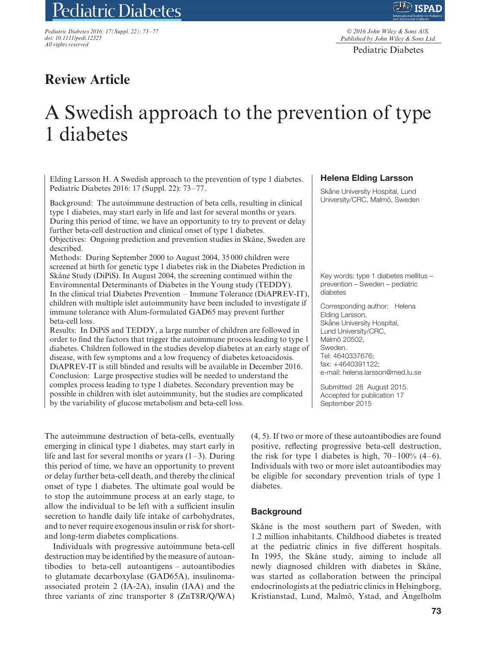# Pediatric Diabetes

*Pediatric Diabetes 2016: 17(Suppl. 22): 73–77 doi: 10.1111/pedi.12325 All rights reserved*

© *2016 John Wiley & Sons A/S. Published by John Wiley & Sons Ltd.*

Pediatric Diabetes

# **Review Article**

# A Swedish approach to the prevention of type 1 diabetes

Elding Larsson H. A Swedish approach to the prevention of type 1 diabetes. Pediatric Diabetes 2016: 17 (Suppl. 22): 73–77.

Background: The autoimmune destruction of beta cells, resulting in clinical type 1 diabetes, may start early in life and last for several months or years. During this period of time, we have an opportunity to try to prevent or delay further beta-cell destruction and clinical onset of type 1 diabetes. Objectives: Ongoing prediction and prevention studies in Skåne, Sweden are described.

Methods: During September 2000 to August 2004, 35 000 children were screened at birth for genetic type 1 diabetes risk in the Diabetes Prediction in Skåne Study (DiPiS). In August 2004, the screening continued within the Enviromnental Determinants of Diabetes in the Young study (TEDDY). In the clinical trial Diabetes Prevention – Immune Tolerance (DiAPREV-IT), children with multiple islet autoimmunity have been included to investigate if immune tolerance with Alum-formulated GAD65 may prevent further beta-cell loss.

Results: In DiPiS and TEDDY, a large number of children are followed in order to find the factors that trigger the autoimmune process leading to type 1 diabetes. Children followed in the studies develop diabetes at an early stage of disease, with few symptoms and a low frequency of diabetes ketoacidosis. DiAPREV-IT is still blinded and results will be available in December 2016. Conclusion: Large prospective studies will be needed to understand the complex process leading to type 1 diabetes. Secondary prevention may be possible in children with islet autoimmunity, but the studies are complicated by the variability of glucose metabolism and beta-cell loss.

The autoimmune destruction of beta-cells, eventually emerging in clinical type 1 diabetes, may start early in life and last for several months or years  $(1-3)$ . During this period of time, we have an opportunity to prevent or delay further beta-cell death, and thereby the clinical onset of type 1 diabetes. The ultimate goal would be to stop the autoimmune process at an early stage, to allow the individual to be left with a sufficient insulin secretion to handle daily life intake of carbohydrates, and to never require exogenous insulin or risk for shortand long-term diabetes complications.

Individuals with progressive autoimmune beta-cell destruction may be identified by the measure of autoantibodies to beta-cell autoantigens – autoantibodies to glutamate decarboxylase (GAD65A), insulinomaassociated protein 2 (IA-2A), insulin (IAA) and the three variants of zinc transporter 8 (ZnT8R/Q/WA)

#### **Helena Elding Larsson**

Skåne University Hospital, Lund University/CRC, Malmö, Sweden

Key words: type 1 diabetes mellitus – prevention – Sweden – pediatric diabetes

Corresponding author: Helena Elding Larsson, Skåne University Hospital, Lund University/CRC, Malmö 20502, Sweden. Tel: 4640337676; fax: +4640391122; e-mail: helena.larsson@med.lu.se

Submitted 28 August 2015. Accepted for publication 17 September 2015

(4, 5). If two or more of these autoantibodies are found positive, reflecting progressive beta-cell destruction, the risk for type 1 diabetes is high,  $70-100\%$  (4–6). Individuals with two or more islet autoantibodies may be eligible for secondary prevention trials of type 1 diabetes.

#### **Background**

Skåne is the most southern part of Sweden, with 1.2 million inhabitants. Childhood diabetes is treated at the pediatric clinics in five different hospitals. In 1995, the Skåne study, aiming to include all newly diagnosed children with diabetes in Skåne, was started as collaboration between the principal endocrinologists at the pediatric clinics in Helsingborg, Kristianstad, Lund, Malmö, Ystad, and Angelholm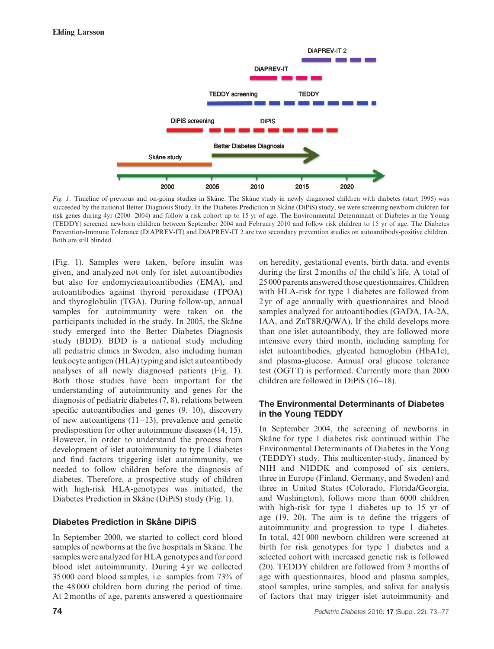

*Fig. 1*. Timeline of previous and on-going studies in Skåne. The Skåne study in newly diagnosed children with diabetes (start 1995) was succeeded by the national Better Diagnosis Study. In the Diabetes Prediction in Skåne (DiPiS) study, we were screening newborn children for risk genes during 4yr (2000–2004) and follow a risk cohort up to 15 yr of age. The Environmental Determinant of Diabetes in the Young (TEDDY) screened newborn children between September 2004 and February 2010 and follow risk children to 15 yr of age. The Diabetes Prevention-Immune Tolerance (DiAPREV-IT) and DiAPREV-IT 2 are two secondary prevention studies on autoantibody-positive children. Both are still blinded.

(Fig. 1). Samples were taken, before insulin was given, and analyzed not only for islet autoantibodies but also for endomycieautoantibodies (EMA), and autoantibodies against thyroid peroxidase (TPOA) and thyroglobulin (TGA). During follow-up, annual samples for autoimmunity were taken on the participants included in the study. In 2005, the Skåne study emerged into the Better Diabetes Diagnosis study (BDD). BDD is a national study including all pediatric clinics in Sweden, also including human leukocyte antigen (HLA) typing and islet autoantibody analyses of all newly diagnosed patients (Fig. 1). Both those studies have been important for the understanding of autoimmunity and genes for the diagnosis of pediatric diabetes (7, 8), relations between specific autoantibodies and genes  $(9, 10)$ , discovery of new autoantigens  $(11-13)$ , prevalence and genetic predisposition for other autoimmune diseases (14, 15). However, in order to understand the process from development of islet autoimmunity to type 1 diabetes and find factors triggering islet autoimmunity, we needed to follow children before the diagnosis of diabetes. Therefore, a prospective study of children with high-risk HLA-genotypes was initiated, the Diabetes Prediction in Skåne (DiPiS) study (Fig. 1).

# **Diabetes Prediction in Skåne DiPiS**

In September 2000, we started to collect cord blood samples of newborns at the five hospitals in Skåne. The samples were analyzed for HLA genotypes and for cord blood islet autoimmunity. During 4 yr we collected 35 000 cord blood samples, i.e. samples from 73% of the 48 000 children born during the period of time. At 2 months of age, parents answered a questionnaire on heredity, gestational events, birth data, and events during the first 2 months of the child's life. A total of 25 000 parents answered those questionnaires. Children with HLA-risk for type 1 diabetes are followed from 2 yr of age annually with questionnaires and blood samples analyzed for autoantibodies (GADA, IA-2A, IAA, and ZnT8R/Q/WA). If the child develops more than one islet autoantibody, they are followed more intensive every third month, including sampling for islet autoantibodies, glycated hemoglobin (HbA1c), and plasma-glucose. Annual oral glucose tolerance test (OGTT) is performed. Currently more than 2000 children are followed in DiPiS (16–18).

# **The Environmental Determinants of Diabetes in the Young TEDDY**

In September 2004, the screening of newborns in Skåne for type 1 diabetes risk continued within The Environmental Determinants of Diabetes in the Yong (TEDDY) study. This multicenter-study, financed by NIH and NIDDK and composed of six centers, three in Europe (Finland, Germany, and Sweden) and three in United States (Colorado, Florida/Georgia, and Washington), follows more than 6000 children with high-risk for type 1 diabetes up to 15 yr of age (19, 20). The aim is to define the triggers of autoimmunity and progression to type 1 diabetes. In total, 421 000 newborn children were screened at birth for risk genotypes for type 1 diabetes and a selected cohort with increased genetic risk is followed (20). TEDDY children are followed from 3 months of age with questionnaires, blood and plasma samples, stool samples, urine samples, and saliva for analysis of factors that may trigger islet autoimmunity and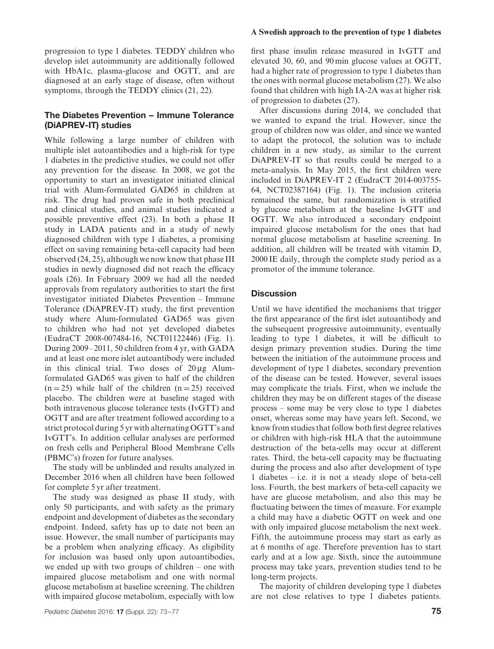progression to type 1 diabetes. TEDDY children who develop islet autoimmunity are additionally followed with HbA1c, plasma-glucose and OGTT, and are diagnosed at an early stage of disease, often without symptoms, through the TEDDY clinics (21, 22).

# **The Diabetes Prevention – Immune Tolerance (DiAPREV-IT) studies**

While following a large number of children with multiple islet autoantibodies and a high-risk for type 1 diabetes in the predictive studies, we could not offer any prevention for the disease. In 2008, we got the opportunity to start an investigator initiated clinical trial with Alum-formulated GAD65 in children at risk. The drug had proven safe in both preclinical and clinical studies, and animal studies indicated a possible preventive effect (23). In both a phase II study in LADA patients and in a study of newly diagnosed children with type 1 diabetes, a promising effect on saving remaining beta-cell capacity had been observed (24, 25), although we now know that phase III studies in newly diagnosed did not reach the efficacy goals (26). In February 2009 we had all the needed approvals from regulatory authorities to start the first investigator initiated Diabetes Prevention – Immune Tolerance (DiAPREV-IT) study, the first prevention study where Alum-formulated GAD65 was given to children who had not yet developed diabetes (EudraCT 2008-007484-16, NCT01122446) (Fig. 1). During 2009–2011, 50 children from 4 yr, with GADA and at least one more islet autoantibody were included in this clinical trial. Two doses of 20 μg Alumformulated GAD65 was given to half of the children  $(n=25)$  while half of the children  $(n=25)$  received placebo. The children were at baseline staged with both intravenous glucose tolerance tests (IvGTT) and OGTT and are after treatment followed according to a strict protocol during 5 yr with alternating OGTT's and IvGTT's. In addition cellular analyses are performed on fresh cells and Peripheral Blood Membrane Cells (PBMC's) frozen for future analyses.

The study will be unblinded and results analyzed in December 2016 when all children have been followed for complete 5 yr after treatment.

The study was designed as phase II study, with only 50 participants, and with safety as the primary endpoint and development of diabetes as the secondary endpoint. Indeed, safety has up to date not been an issue. However, the small number of participants may be a problem when analyzing efficacy. As eligibility for inclusion was based only upon autoantibodies, we ended up with two groups of children – one with impaired glucose metabolism and one with normal glucose metabolism at baseline screening. The children with impaired glucose metabolism, especially with low

#### **A Swedish approach to the prevention of type 1 diabetes**

first phase insulin release measured in IvGTT and elevated 30, 60, and 90 min glucose values at OGTT, had a higher rate of progression to type 1 diabetes than the ones with normal glucose metabolism (27). We also found that children with high IA-2A was at higher risk of progression to diabetes (27).

After discussions during 2014, we concluded that we wanted to expand the trial. However, since the group of children now was older, and since we wanted to adapt the protocol, the solution was to include children in a new study, as similar to the current DiAPREV-IT so that results could be merged to a meta-analysis. In May 2015, the first children were included in DiAPREV-IT 2 (EudraCT 2014-003755- 64, NCT02387164) (Fig. 1). The inclusion criteria remained the same, but randomization is stratified by glucose metabolism at the baseline IvGTT and OGTT. We also introduced a secondary endpoint impaired glucose metabolism for the ones that had normal glucose metabolism at baseline screening. In addition, all children will be treated with vitamin D, 2000 IE daily, through the complete study period as a promotor of the immune tolerance.

#### **Discussion**

Until we have identified the mechanisms that trigger the first appearance of the first islet autoantibody and the subsequent progressive autoimmunity, eventually leading to type 1 diabetes, it will be difficult to design primary prevention studies. During the time between the initiation of the autoimmune process and development of type 1 diabetes, secondary prevention of the disease can be tested. However, several issues may complicate the trials. First, when we include the children they may be on different stages of the disease process – some may be very close to type 1 diabetes onset, whereas some may have years left. Second, we know from studies that follow both first degree relatives or children with high-risk HLA that the autoimmune destruction of the beta-cells may occur at different rates. Third, the beta-cell capacity may be fluctuating during the process and also after development of type 1 diabetes – i.e. it is not a steady slope of beta-cell loss. Fourth, the best markers of beta-cell capacity we have are glucose metabolism, and also this may be fluctuating between the times of measure. For example a child may have a diabetic OGTT on week and one with only impaired glucose metabolism the next week. Fifth, the autoimmune process may start as early as at 6 months of age. Therefore prevention has to start early and at a low age. Sixth, since the autoimmune process may take years, prevention studies tend to be long-term projects.

The majority of children developing type 1 diabetes are not close relatives to type 1 diabetes patients.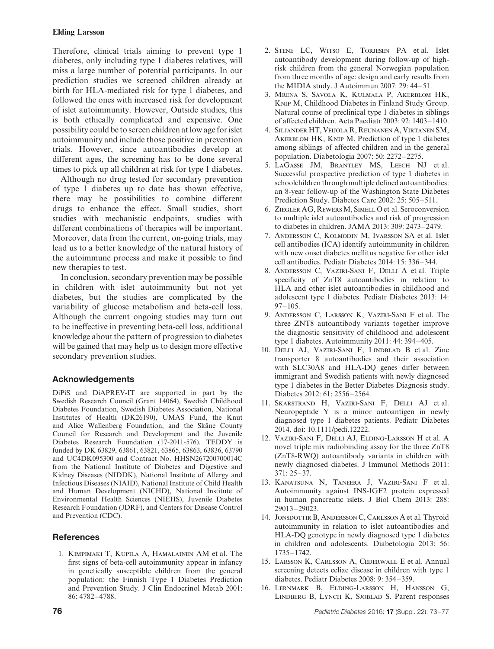#### **Elding Larsson**

Therefore, clinical trials aiming to prevent type 1 diabetes, only including type 1 diabetes relatives, will miss a large number of potential participants. In our prediction studies we screened children already at birth for HLA-mediated risk for type 1 diabetes, and followed the ones with increased risk for development of islet autoimmunity. However, Outside studies, this is both ethically complicated and expensive. One possibility could be to screen children at low age for islet autoimmunity and include those positive in prevention trials. However, since autoantibodies develop at different ages, the screening has to be done several times to pick up all children at risk for type 1 diabetes.

Although no drug tested for secondary prevention of type 1 diabetes up to date has shown effective, there may be possibilities to combine different drugs to enhance the effect. Small studies, short studies with mechanistic endpoints, studies with different combinations of therapies will be important. Moreover, data from the current, on-going trials, may lead us to a better knowledge of the natural history of the autoimmune process and make it possible to find new therapies to test.

In conclusion, secondary prevention may be possible in children with islet autoimmunity but not yet diabetes, but the studies are complicated by the variability of glucose metabolism and beta-cell loss. Although the current ongoing studies may turn out to be ineffective in preventing beta-cell loss, additional knowledge about the pattern of progression to diabetes will be gained that may help us to design more effective secondary prevention studies.

# **Acknowledgements**

DiPiS and DiAPREV-IT are supported in part by the Swedish Research Council (Grant 14064), Swedish Childhood Diabetes Foundation, Swedish Diabetes Association, National Institutes of Health (DK26190), UMAS Fund, the Knut and Alice Wallenberg Foundation, and the Skåne County Council for Research and Development and the Juvenile Diabetes Research Foundation (17-2011-576). TEDDY is funded by DK 63829, 63861, 63821, 63865, 63863, 63836, 63790 and UC4DK095300 and Contract No. HHSN267200700014C from the National Institute of Diabetes and Digestive and Kidney Diseases (NIDDK), National Institute of Allergy and Infectious Diseases (NIAID), National Institute of Child Health and Human Development (NICHD), National Institute of Environmental Health Sciences (NIEHS), Juvenile Diabetes Research Foundation (JDRF), and Centers for Disease Control and Prevention (CDC).

# **References**

1. Kimpimaki T, Kupila A, Hamalainen AM et al. The first signs of beta-cell autoimmunity appear in infancy in genetically susceptible children from the general population: the Finnish Type 1 Diabetes Prediction and Prevention Study. J Clin Endocrinol Metab 2001: 86: 4782–4788.

- 2. Stene LC, Witso E, Torjesen PA et al. Islet autoantibody development during follow-up of highrisk children from the general Norwegian population from three months of age: design and early results from the MIDIA study. J Autoimmun 2007: 29: 44–51.
- 3. Mrena S, Savola K, Kulmala P, Akerblom HK, Knip M, Childhood Diabetes in Finland Study Group. Natural course of preclinical type 1 diabetes in siblings of affected children. Acta Paediatr 2003: 92: 1403–1410.
- 4. Siljander HT, Veijola R, Reunanen A, Virtanen SM, AKERBLOM HK, KNIP M. Prediction of type 1 diabetes among siblings of affected children and in the general population. Diabetologia 2007: 50: 2272–2275.
- 5. LaGasse JM, Brantley MS, Leech NJ et al. Successful prospective prediction of type 1 diabetes in schoolchildren through multiple defined autoantibodies: an 8-year follow-up of the Washington State Diabetes Prediction Study. Diabetes Care 2002: 25: 505–511.
- 6. Ziegler AG, RewersM, Simell O et al. Seroconversion to multiple islet autoantibodies and risk of progression to diabetes in children. JAMA 2013: 309: 2473–2479.
- 7. Andersson C, Kolmodin M, Ivarsson SA et al. Islet cell antibodies (ICA) identify autoimmunity in children with new onset diabetes mellitus negative for other islet cell antibodies. Pediatr Diabetes 2014: 15: 336–344.
- 8. Andersson C, Vaziri-Sani F, Delli A et al. Triple specificity of ZnT8 autoantibodies in relation to HLA and other islet autoantibodies in childhood and adolescent type 1 diabetes. Pediatr Diabetes 2013: 14: 97–105.
- 9. Andersson C, Larsson K, Vaziri-Sani F et al. The three ZNT8 autoantibody variants together improve the diagnostic sensitivity of childhood and adolescent type 1 diabetes. Autoimmunity 2011: 44: 394–405.
- 10. Delli AJ, Vaziri-Sani F, Lindblad B et al. Zinc transporter 8 autoantibodies and their association with SLC30A8 and HLA-DQ genes differ between immigrant and Swedish patients with newly diagnosed type 1 diabetes in the Better Diabetes Diagnosis study. Diabetes 2012: 61: 2556–2564.
- 11. Skarstrand H, Vaziri-Sani F, Delli AJ et al. Neuropeptide Y is a minor autoantigen in newly diagnosed type 1 diabetes patients. Pediatr Diabetes 2014. doi: 10.1111/pedi.12222.
- 12. Vaziri-Sani F, Delli AJ, Elding-Larsson H et al. A novel triple mix radiobinding assay for the three ZnT8 (ZnT8-RWQ) autoantibody variants in children with newly diagnosed diabetes. J Immunol Methods 2011: 371: 25–37.
- 13. Kanatsuna N, Taneera J, Vaziri-Sani F et al. Autoimmunity against INS-IGF2 protein expressed in human pancreatic islets. J Biol Chem 2013: 288: 29013–29023.
- 14. JONSDOTTIR B, ANDERSSON C, CARLSSON A et al. Thyroid autoimmunity in relation to islet autoantibodies and HLA-DQ genotype in newly diagnosed type 1 diabetes in children and adolescents. Diabetologia 2013: 56: 1735–1742.
- 15. Larsson K, Carlsson A, Cederwall E et al. Annual screening detects celiac disease in children with type 1 diabetes. Pediatr Diabetes 2008: 9: 354–359.
- 16. Lernmark B, Elding-Larsson H, Hansson G, LINDBERG B, LYNCH K, SJOBLAD S. Parent responses